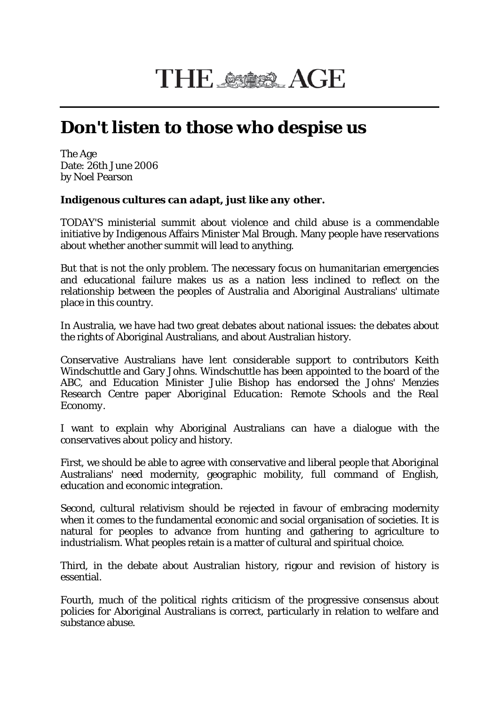## THE SSOSS AGE

## **Don't listen to those who despise us**

The Age Date: 26th June 2006 by Noel Pearson

## *Indigenous cultures can adapt, just like any other.*

TODAY'S ministerial summit about violence and child abuse is a commendable initiative by Indigenous Affairs Minister Mal Brough. Many people have reservations about whether another summit will lead to anything.

But that is not the only problem. The necessary focus on humanitarian emergencies and educational failure makes us as a nation less inclined to reflect on the relationship between the peoples of Australia and Aboriginal Australians' ultimate place in this country.

In Australia, we have had two great debates about national issues: the debates about the rights of Aboriginal Australians, and about Australian history.

Conservative Australians have lent considerable support to contributors Keith Windschuttle and Gary Johns. Windschuttle has been appointed to the board of the ABC, and Education Minister Julie Bishop has endorsed the Johns' Menzies Research Centre paper *Aboriginal Education: Remote Schools and the Real Economy*.

I want to explain why Aboriginal Australians can have a dialogue with the conservatives about policy and history.

First, we should be able to agree with conservative and liberal people that Aboriginal Australians' need modernity, geographic mobility, full command of English, education and economic integration.

Second, cultural relativism should be rejected in favour of embracing modernity when it comes to the fundamental economic and social organisation of societies. It is natural for peoples to advance from hunting and gathering to agriculture to industrialism. What peoples retain is a matter of cultural and spiritual choice.

Third, in the debate about Australian history, rigour and revision of history is essential.

Fourth, much of the political rights criticism of the progressive consensus about policies for Aboriginal Australians is correct, particularly in relation to welfare and substance abuse.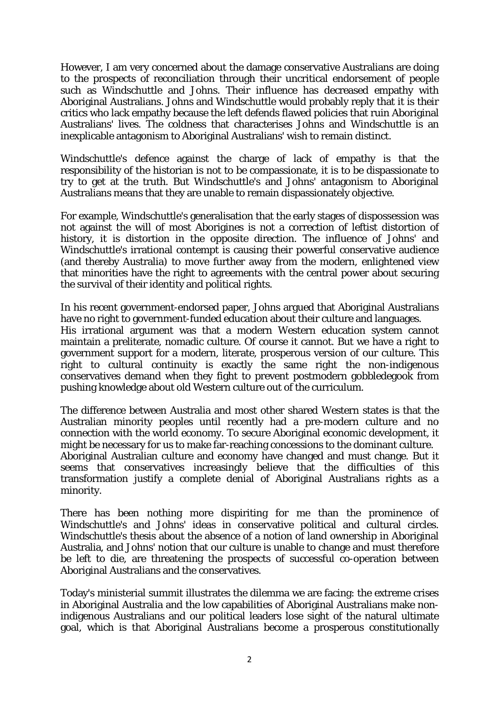However, I am very concerned about the damage conservative Australians are doing to the prospects of reconciliation through their uncritical endorsement of people such as Windschuttle and Johns. Their influence has decreased empathy with Aboriginal Australians. Johns and Windschuttle would probably reply that it is their critics who lack empathy because the left defends flawed policies that ruin Aboriginal Australians' lives. The coldness that characterises Johns and Windschuttle is an inexplicable antagonism to Aboriginal Australians' wish to remain distinct.

Windschuttle's defence against the charge of lack of empathy is that the responsibility of the historian is not to be compassionate, it is to be dispassionate to try to get at the truth. But Windschuttle's and Johns' antagonism to Aboriginal Australians means that they are unable to remain dispassionately objective.

For example, Windschuttle's generalisation that the early stages of dispossession was not against the will of most Aborigines is not a correction of leftist distortion of history, it is distortion in the opposite direction. The influence of Johns' and Windschuttle's irrational contempt is causing their powerful conservative audience (and thereby Australia) to move further away from the modern, enlightened view that minorities have the right to agreements with the central power about securing the survival of their identity and political rights.

In his recent government-endorsed paper, Johns argued that Aboriginal Australians have no right to government-funded education about their culture and languages.

His irrational argument was that a modern Western education system cannot maintain a preliterate, nomadic culture. Of course it cannot. But we have a right to government support for a modern, literate, prosperous version of our culture. This right to cultural continuity is exactly the same right the non-indigenous conservatives demand when they fight to prevent postmodern gobbledegook from pushing knowledge about old Western culture out of the curriculum.

The difference between Australia and most other shared Western states is that the Australian minority peoples until recently had a pre-modern culture and no connection with the world economy. To secure Aboriginal economic development, it might be necessary for us to make far-reaching concessions to the dominant culture. Aboriginal Australian culture and economy have changed and must change. But it seems that conservatives increasingly believe that the difficulties of this transformation justify a complete denial of Aboriginal Australians rights as a minority.

There has been nothing more dispiriting for me than the prominence of Windschuttle's and Johns' ideas in conservative political and cultural circles. Windschuttle's thesis about the absence of a notion of land ownership in Aboriginal Australia, and Johns' notion that our culture is unable to change and must therefore be left to die, are threatening the prospects of successful co-operation between Aboriginal Australians and the conservatives.

Today's ministerial summit illustrates the dilemma we are facing: the extreme crises in Aboriginal Australia and the low capabilities of Aboriginal Australians make nonindigenous Australians and our political leaders lose sight of the natural ultimate goal, which is that Aboriginal Australians become a prosperous constitutionally